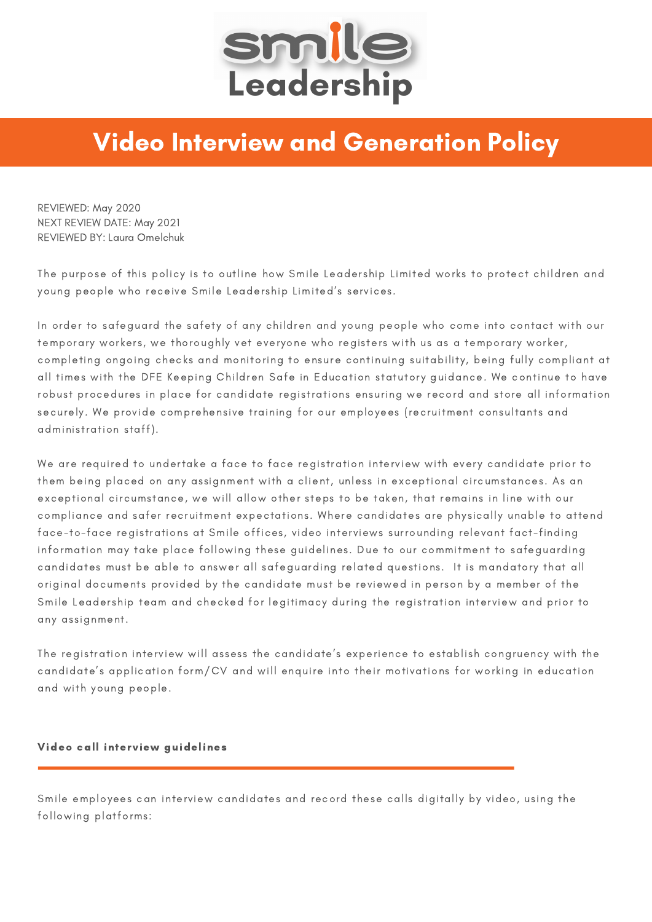

## Video Interview and Generation Policy

REVIEWED: May 2020 NEXT REVIEW DATE: May 2021 REVIEWED BY: Laura Omelchuk

The purpose of this policy is to outline how Smile Leadership Limited works to protect children and young people who receive Smile Leadership Limited's services.

In order to safeguard the safety of any children and young people who come into contact with our temporary workers, we thoroughly vet everyone who registers with us as a temporary worker, completing ongoing checks and monitoring to ensure continuing suitability, being fully compliant at all times with the DFE Keeping Children Safe in Education statutory guidance. We continue to have robust procedures in place for candidate registrations ensuring we record and store all information securely. We provide comprehensive training for our employees (recruitment consultants and administration staff).

We are required to undertake a face to face registration interview with every candidate prior to them being placed on any assignment with a client, unless in exceptional circumstances. As an exceptional circumstance, we will allow other steps to be taken, that remains in line with our compliance and safer recruitment expectations. Where candidates are physically unable to attend face-to-face registrations at Smile offices, video interviews surrounding relevant fact-finding information may take place following these guidelines. Due to our commitment to safeguarding candidates must be able to answer all safeguarding related questions. It is mandatory that all original documents provided by the candidate must be reviewed in person by a member of the Smile Leadership team and checked for legitimacy during the registration interview and prior to any assignment.

The registration interview will assess the candidate's experience to establish congruency with the candidate's application form/CV and will enquire into their motivations for working in education and with young people.

## Video call interview guidelines

Smile employees can interview candidates and record these calls digitally by video, using the following platforms: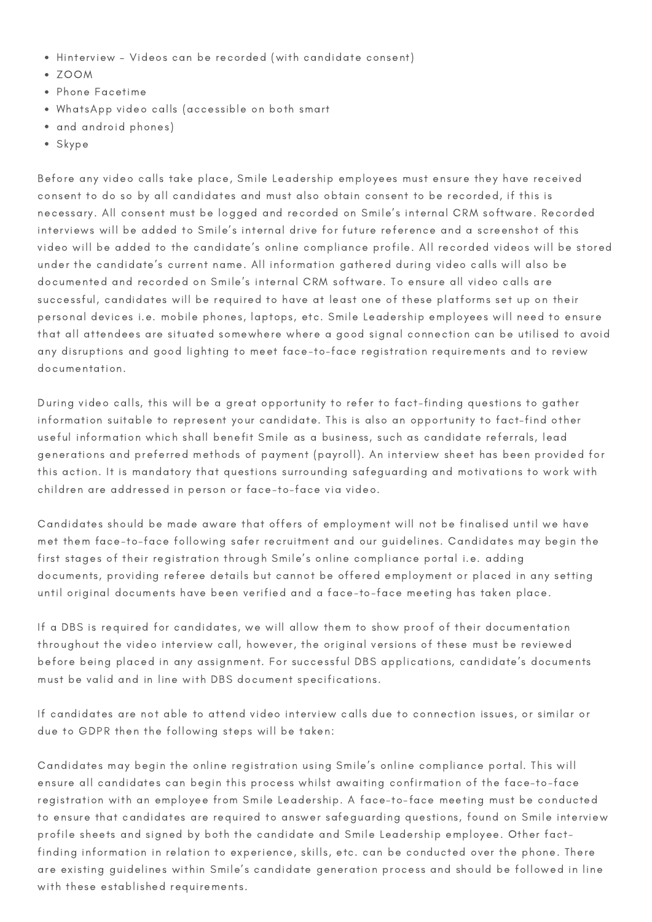- Hinterview Videos can be recorded (with candidate consent)
- ZOOM
- Phone Facetime
- WhatsApp video calls (accessible on both smart
- and android phones)
- Skype

Before any video calls take place, Smile Leadership employees must ensure they have received consent to do so by all candidates and must also obtain consent to be recorded, if this is necessary. All consent must be logged and recorded on Smile's internal CRM software. Recorded interviews will be added to Smile's internal drive for future reference and a screenshot of this video will be added to the candidate's online compliance profile. All recorded videos will be stored under the candidate's current name. All information gathered during video calls will also be documented and recorded on Smile's internal CRM software. To ensure all video calls are successful, candidates will be required to have at least one of these platforms set up on their personal devices i.e. mobile phones, laptops, etc. Smile Leadership employees will need to ensure that all attendees are situated somewhere where a good signal connection can be utilised to avoid any disruptions and good lighting to meet face-to-face registration requirements and to review documentation.

During video calls, this will be a great opportunity to refer to fact-finding questions to gather information suitable to represent your candidate. This is also an opportunity to fact-find other useful information which shall benefit Smile as a business, such as candidate referrals, lead generations and preferred methods of payment (payroll). An interview sheet has been provided for this action. It is mandatory that questions surrounding safeguarding and motivations to work with children are addressed in person or face-to-face via video.

Candidates should be made aware that offers of employment will not be finalised until we have met them face-to-face following safer recruitment and our guidelines. Candidates may begin the first stages of their registration through Smile's online compliance portal i.e. adding documents, providing referee details but cannot be offered employment or placed in any setting until original documents have been verified and a face-to-face meeting has taken place.

If a DBS is required for candidates, we will allow them to show proof of their documentation throughout the video interview call, however, the original versions of these must be reviewed before being placed in any assignment. For successful DBS applications, candidate's documents must be valid and in line with DBS document specifications.

If candidates are not able to attend video interview calls due to connection issues, or similar or due to GDPR then the following steps will be taken:

Candidates may begin the online registration using Smile's online compliance portal. This will ensure all candidates can begin this process whilst awaiting confirmation of the face-to-face registration with an employee from Smile Leadership. A face-to-face meeting must be conducted to ensure that candidates are required to answer safeguarding questions, found on Smile interview profile sheets and signed by both the candidate and Smile Leadership employee. Other factfinding information in relation to experience, skills, etc. can be conducted over the phone. There are existing guidelines within Smile's candidate generation process and should be followed in line with these established requirements.